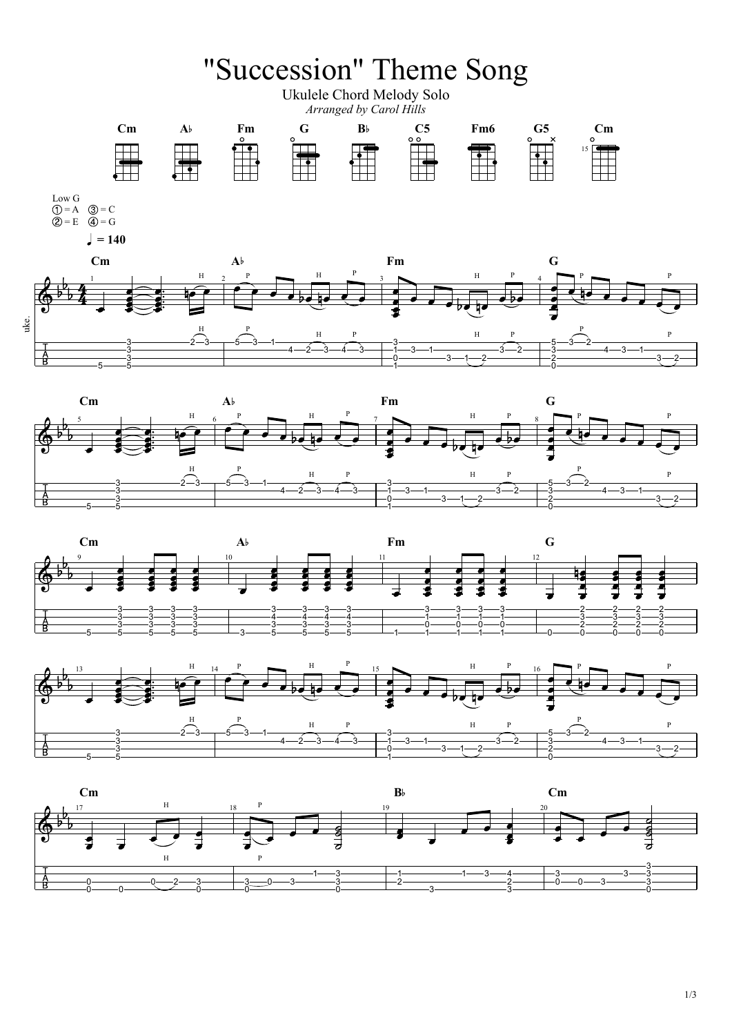









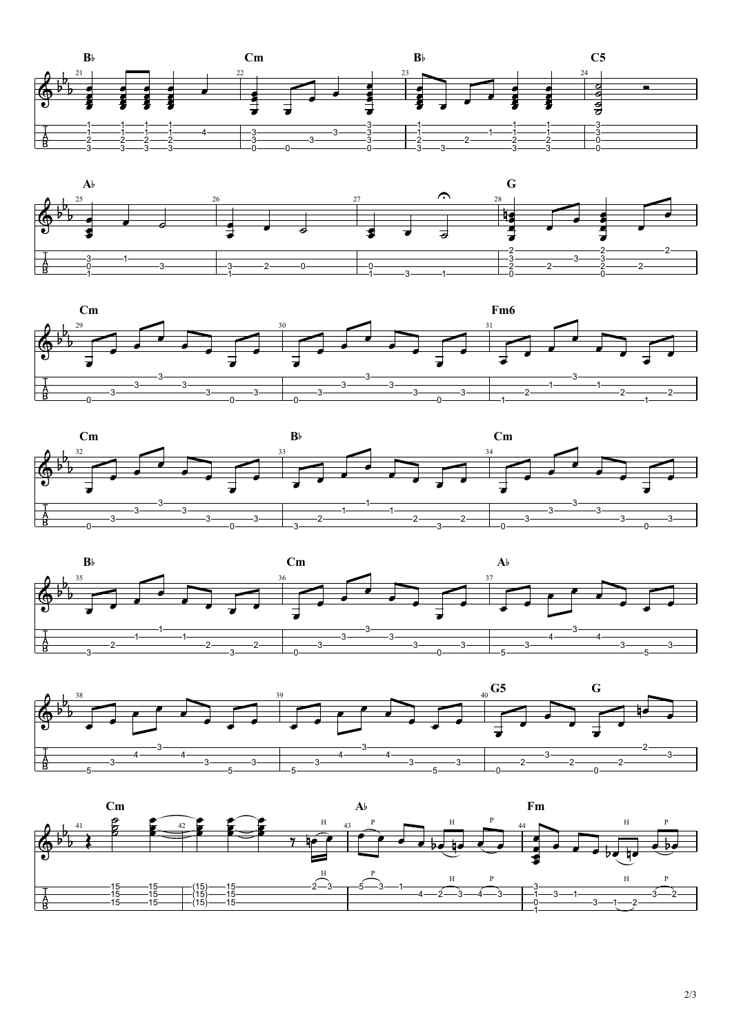